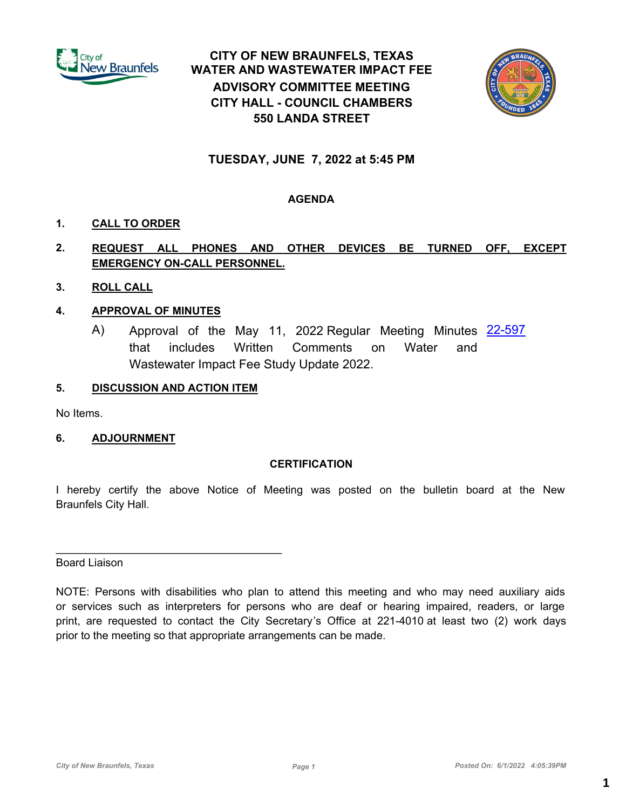

# **CITY OF NEW BRAUNFELS, TEXAS WATER AND WASTEWATER IMPACT FEE ADVISORY COMMITTEE MEETING CITY HALL - COUNCIL CHAMBERS 550 LANDA STREET**



# **TUESDAY, JUNE 7, 2022 at 5:45 PM**

# **AGENDA**

# **1. CALL TO ORDER**

# **2. REQUEST ALL PHONES AND OTHER DEVICES BE TURNED OFF, EXCEPT EMERGENCY ON-CALL PERSONNEL.**

**3. ROLL CALL**

# **4. APPROVAL OF MINUTES**

A) Approval of the May 11, 2022 Regular Meeting Minutes [22-597](http://newbraunfels.legistar.com/gateway.aspx?m=l&id=/matter.aspx?key=10610) that includes Written Comments on Water and Wastewater Impact Fee Study Update 2022.

# **5. DISCUSSION AND ACTION ITEM**

No Items.

# **6. ADJOURNMENT**

## **CERTIFICATION**

I hereby certify the above Notice of Meeting was posted on the bulletin board at the New Braunfels City Hall.

# Board Liaison

NOTE: Persons with disabilities who plan to attend this meeting and who may need auxiliary aids or services such as interpreters for persons who are deaf or hearing impaired, readers, or large print, are requested to contact the City Secretary's Office at 221-4010 at least two (2) work days prior to the meeting so that appropriate arrangements can be made.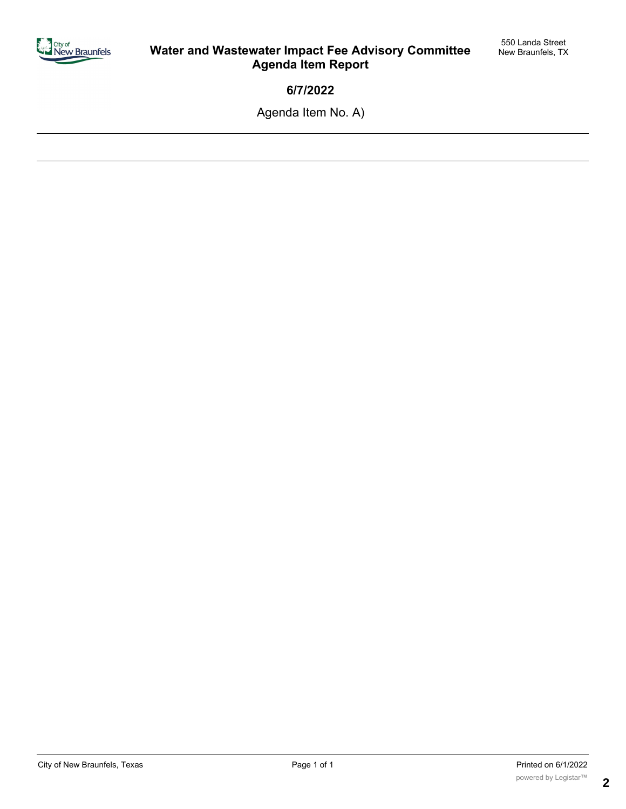

**6/7/2022**

Agenda Item No. A)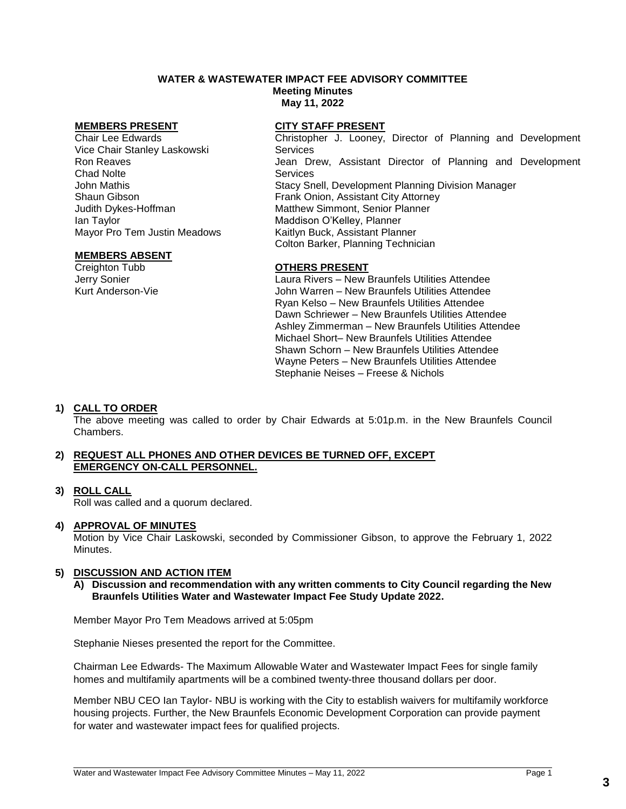# **WATER & WASTEWATER IMPACT FEE ADVISORY COMMITTEE**

**Meeting Minutes May 11, 2022**

Chair Lee Edwards Vice Chair Stanley Laskowski Ron Reaves Chad Nolte John Mathis Shaun Gibson Judith Dykes-Hoffman Ian Taylor Mayor Pro Tem Justin Meadows

### **MEMBERS ABSENT**

Creighton Tubb Jerry Sonier Kurt Anderson-Vie

### **MEMBERS PRESENT CITY STAFF PRESENT**

Christopher J. Looney, Director of Planning and Development **Services** Jean Drew, Assistant Director of Planning and Development **Services** Stacy Snell, Development Planning Division Manager Frank Onion, Assistant City Attorney Matthew Simmont, Senior Planner Maddison O'Kelley, Planner Kaitlyn Buck, Assistant Planner Colton Barker, Planning Technician

### **OTHERS PRESENT**

Laura Rivers – New Braunfels Utilities Attendee John Warren – New Braunfels Utilities Attendee Ryan Kelso – New Braunfels Utilities Attendee Dawn Schriewer – New Braunfels Utilities Attendee Ashley Zimmerman – New Braunfels Utilities Attendee Michael Short– New Braunfels Utilities Attendee Shawn Schorn – New Braunfels Utilities Attendee Wayne Peters – New Braunfels Utilities Attendee Stephanie Neises – Freese & Nichols

## **1) CALL TO ORDER**

The above meeting was called to order by Chair Edwards at 5:01p.m. in the New Braunfels Council Chambers.

### **2) REQUEST ALL PHONES AND OTHER DEVICES BE TURNED OFF, EXCEPT EMERGENCY ON-CALL PERSONNEL.**

## **3) ROLL CALL**

Roll was called and a quorum declared.

### **4) APPROVAL OF MINUTES**

Motion by Vice Chair Laskowski, seconded by Commissioner Gibson, to approve the February 1, 2022 Minutes.

### **5) DISCUSSION AND ACTION ITEM**

**A) Discussion and recommendation with any written comments to City Council regarding the New Braunfels Utilities Water and Wastewater Impact Fee Study Update 2022.** 

Member Mayor Pro Tem Meadows arrived at 5:05pm

Stephanie Nieses presented the report for the Committee.

Chairman Lee Edwards- The Maximum Allowable Water and Wastewater Impact Fees for single family homes and multifamily apartments will be a combined twenty-three thousand dollars per door.

Member NBU CEO Ian Taylor- NBU is working with the City to establish waivers for multifamily workforce housing projects. Further, the New Braunfels Economic Development Corporation can provide payment for water and wastewater impact fees for qualified projects.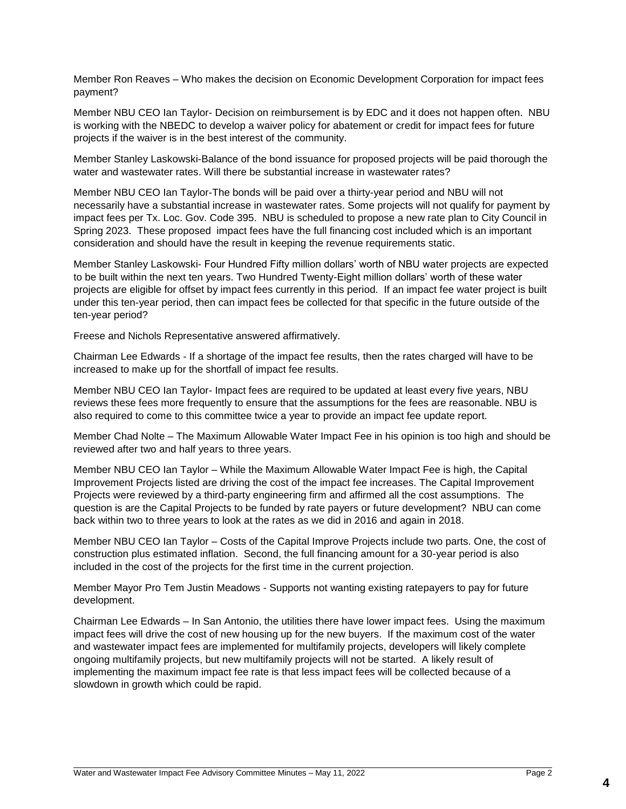Member Ron Reaves – Who makes the decision on Economic Development Corporation for impact fees payment?

Member NBU CEO Ian Taylor- Decision on reimbursement is by EDC and it does not happen often. NBU is working with the NBEDC to develop a waiver policy for abatement or credit for impact fees for future projects if the waiver is in the best interest of the community.

Member Stanley Laskowski-Balance of the bond issuance for proposed projects will be paid thorough the water and wastewater rates. Will there be substantial increase in wastewater rates?

Member NBU CEO Ian Taylor-The bonds will be paid over a thirty-year period and NBU will not necessarily have a substantial increase in wastewater rates. Some projects will not qualify for payment by impact fees per Tx. Loc. Gov. Code 395. NBU is scheduled to propose a new rate plan to City Council in Spring 2023. These proposed impact fees have the full financing cost included which is an important consideration and should have the result in keeping the revenue requirements static.

Member Stanley Laskowski- Four Hundred Fifty million dollars' worth of NBU water projects are expected to be built within the next ten years. Two Hundred Twenty-Eight million dollars' worth of these water projects are eligible for offset by impact fees currently in this period. If an impact fee water project is built under this ten-year period, then can impact fees be collected for that specific in the future outside of the ten-year period?

Freese and Nichols Representative answered affirmatively.

Chairman Lee Edwards - If a shortage of the impact fee results, then the rates charged will have to be increased to make up for the shortfall of impact fee results.

Member NBU CEO Ian Taylor- Impact fees are required to be updated at least every five years, NBU reviews these fees more frequently to ensure that the assumptions for the fees are reasonable. NBU is also required to come to this committee twice a year to provide an impact fee update report.

Member Chad Nolte – The Maximum Allowable Water Impact Fee in his opinion is too high and should be reviewed after two and half years to three years.

Member NBU CEO Ian Taylor – While the Maximum Allowable Water Impact Fee is high, the Capital Improvement Projects listed are driving the cost of the impact fee increases. The Capital Improvement Projects were reviewed by a third-party engineering firm and affirmed all the cost assumptions. The question is are the Capital Projects to be funded by rate payers or future development? NBU can come back within two to three years to look at the rates as we did in 2016 and again in 2018.

Member NBU CEO Ian Taylor – Costs of the Capital Improve Projects include two parts. One, the cost of construction plus estimated inflation. Second, the full financing amount for a 30-year period is also included in the cost of the projects for the first time in the current projection.

Member Mayor Pro Tem Justin Meadows - Supports not wanting existing ratepayers to pay for future development.

Chairman Lee Edwards – In San Antonio, the utilities there have lower impact fees. Using the maximum impact fees will drive the cost of new housing up for the new buyers. If the maximum cost of the water and wastewater impact fees are implemented for multifamily projects, developers will likely complete ongoing multifamily projects, but new multifamily projects will not be started. A likely result of implementing the maximum impact fee rate is that less impact fees will be collected because of a slowdown in growth which could be rapid.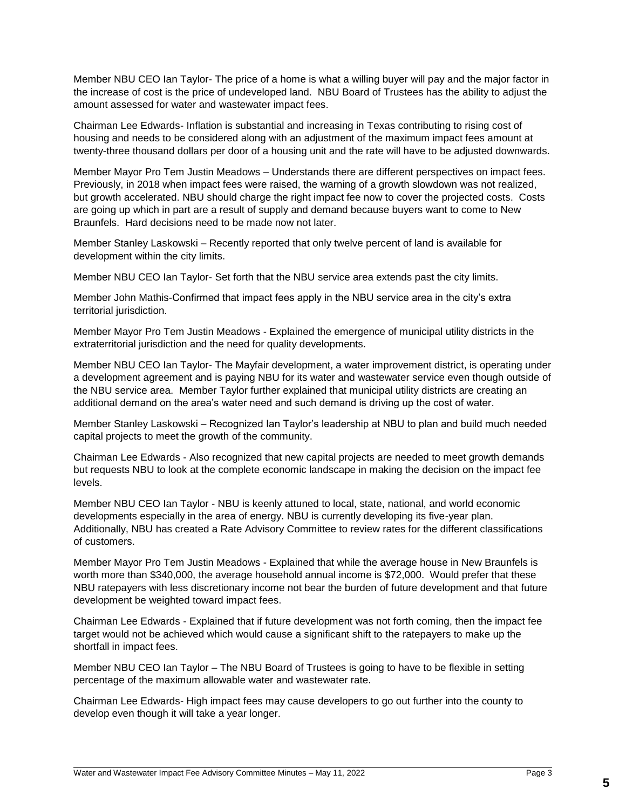Member NBU CEO Ian Taylor- The price of a home is what a willing buyer will pay and the major factor in the increase of cost is the price of undeveloped land. NBU Board of Trustees has the ability to adjust the amount assessed for water and wastewater impact fees.

Chairman Lee Edwards- Inflation is substantial and increasing in Texas contributing to rising cost of housing and needs to be considered along with an adjustment of the maximum impact fees amount at twenty-three thousand dollars per door of a housing unit and the rate will have to be adjusted downwards.

Member Mayor Pro Tem Justin Meadows – Understands there are different perspectives on impact fees. Previously, in 2018 when impact fees were raised, the warning of a growth slowdown was not realized, but growth accelerated. NBU should charge the right impact fee now to cover the projected costs. Costs are going up which in part are a result of supply and demand because buyers want to come to New Braunfels. Hard decisions need to be made now not later.

Member Stanley Laskowski – Recently reported that only twelve percent of land is available for development within the city limits.

Member NBU CEO Ian Taylor- Set forth that the NBU service area extends past the city limits.

Member John Mathis-Confirmed that impact fees apply in the NBU service area in the city's extra territorial jurisdiction.

Member Mayor Pro Tem Justin Meadows - Explained the emergence of municipal utility districts in the extraterritorial jurisdiction and the need for quality developments.

Member NBU CEO Ian Taylor- The Mayfair development, a water improvement district, is operating under a development agreement and is paying NBU for its water and wastewater service even though outside of the NBU service area. Member Taylor further explained that municipal utility districts are creating an additional demand on the area's water need and such demand is driving up the cost of water.

Member Stanley Laskowski – Recognized Ian Taylor's leadership at NBU to plan and build much needed capital projects to meet the growth of the community.

Chairman Lee Edwards - Also recognized that new capital projects are needed to meet growth demands but requests NBU to look at the complete economic landscape in making the decision on the impact fee levels.

Member NBU CEO Ian Taylor - NBU is keenly attuned to local, state, national, and world economic developments especially in the area of energy. NBU is currently developing its five-year plan. Additionally, NBU has created a Rate Advisory Committee to review rates for the different classifications of customers.

Member Mayor Pro Tem Justin Meadows - Explained that while the average house in New Braunfels is worth more than \$340,000, the average household annual income is \$72,000. Would prefer that these NBU ratepayers with less discretionary income not bear the burden of future development and that future development be weighted toward impact fees.

Chairman Lee Edwards - Explained that if future development was not forth coming, then the impact fee target would not be achieved which would cause a significant shift to the ratepayers to make up the shortfall in impact fees.

Member NBU CEO Ian Taylor – The NBU Board of Trustees is going to have to be flexible in setting percentage of the maximum allowable water and wastewater rate.

Chairman Lee Edwards- High impact fees may cause developers to go out further into the county to develop even though it will take a year longer.